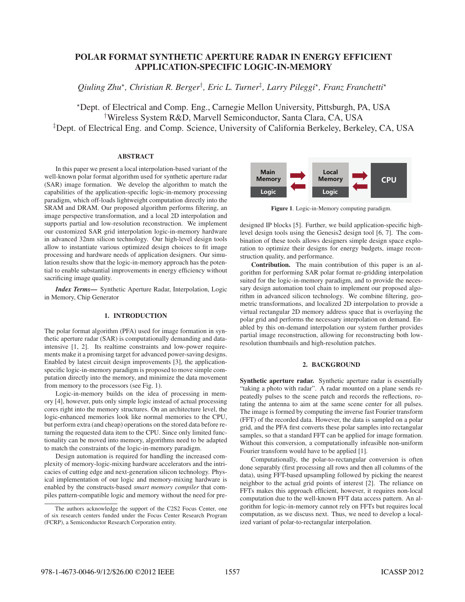# POLAR FORMAT SYNTHETIC APERTURE RADAR IN ENERGY EFFICIENT APPLICATION-SPECIFIC LOGIC-IN-MEMORY

*Qiuling Zhu*-*, Christian R. Berger*† *, Eric L. Turner*‡ *, Larry Pileggi*-*, Franz Franchetti*-

-Dept. of Electrical and Comp. Eng., Carnegie Mellon University, Pittsburgh, PA, USA † Wireless System R&D, Marvell Semiconductor, Santa Clara, CA, USA ‡ Dept. of Electrical Eng. and Comp. Science, University of California Berkeley, Berkeley, CA, USA

## **ABSTRACT**

In this paper we present a local interpolation-based variant of the well-known polar format algorithm used for synthetic aperture radar (SAR) image formation. We develop the algorithm to match the capabilities of the application-specific logic-in-memory processing paradigm, which off-loads lightweight computation directly into the SRAM and DRAM. Our proposed algorithm performs filtering, an image perspective transformation, and a local 2D interpolation and supports partial and low-resolution reconstruction. We implement our customized SAR grid interpolation logic-in-memory hardware in advanced 32nm silicon technology. Our high-level design tools allow to instantiate various optimized design choices to fit image processing and hardware needs of application designers. Our simulation results show that the logic-in-memory approach has the potential to enable substantial improvements in energy efficiency without sacrificing image quality.

*Index Terms*— Synthetic Aperture Radar, Interpolation, Logic in Memory, Chip Generator

## 1. INTRODUCTION

The polar format algorithm (PFA) used for image formation in synthetic aperture radar (SAR) is computationally demanding and dataintensive [1, 2]. Its realtime constraints and low-power requirements make it a promising target for advanced power-saving designs. Enabled by latest circuit design improvements [3], the applicationspecific logic-in-memory paradigm is proposed to move simple computation directly into the memory, and minimize the data movement from memory to the processors (see Fig. 1).

Logic-in-memory builds on the idea of processing in memory [4], however, puts only simple logic instead of actual processing cores right into the memory structures. On an architecture level, the logic-enhanced memories look like normal memories to the CPU, but perform extra (and cheap) operations on the stored data before returning the requested data item to the CPU. Since only limited functionality can be moved into memory, algorithms need to be adapted to match the constraints of the logic-in-memory paradigm.

Design automation is required for handling the increased complexity of memory-logic-mixing hardware accelerators and the intricacies of cutting edge and next-generation silicon technology. Physical implementation of our logic and memory-mixing hardware is enabled by the constructs-based *smart memory compiler* that compiles pattern-compatible logic and memory without the need for pre-



Figure 1. Logic-in-Memory computing paradigm.

designed IP blocks [5]. Further, we build application-specific highlevel design tools using the Genesis2 design tool [6, 7]. The combination of these tools allows designers simple design space exploration to optimize their designs for energy budgets, image reconstruction quality, and performance.

Contribution. The main contribution of this paper is an algorithm for performing SAR polar format re-gridding interpolation suited for the logic-in-memory paradigm, and to provide the necessary design automation tool chain to implement our proposed algorithm in advanced silicon technology. We combine filtering, geometric transformations, and localized 2D interpolation to provide a virtual rectangular 2D memory address space that is overlaying the polar grid and performs the necessary interpolation on demand. Enabled by this on-demand interpolation our system further provides partial image reconstruction, allowing for reconstructing both lowresolution thumbnails and high-resolution patches.

## 2. BACKGROUND

Synthetic aperture radar. Synthetic aperture radar is essentially "taking a photo with radar". A radar mounted on a plane sends repeatedly pulses to the scene patch and records the reflections, rotating the antenna to aim at the same scene center for all pulses. The image is formed by computing the inverse fast Fourier transform (FFT) of the recorded data. However, the data is sampled on a polar grid, and the PFA first converts these polar samples into rectangular samples, so that a standard FFT can be applied for image formation. Without this conversion, a computationally infeasible non-uniform Fourier transform would have to be applied [1].

Computationally, the polar-to-rectangular conversion is often done separably (first processing all rows and then all columns of the data), using FFT-based upsampling followed by picking the nearest neighbor to the actual grid points of interest [2]. The reliance on FFTs makes this approach efficient, however, it requires non-local computation due to the well-known FFT data access pattern. An algorithm for logic-in-memory cannot rely on FFTs but requires local computation, as we discuss next. Thus, we need to develop a localized variant of polar-to-rectangular interpolation.

The authors acknowledge the support of the C2S2 Focus Center, one of six research centers funded under the Focus Center Research Program (FCRP), a Semiconductor Research Corporation entity.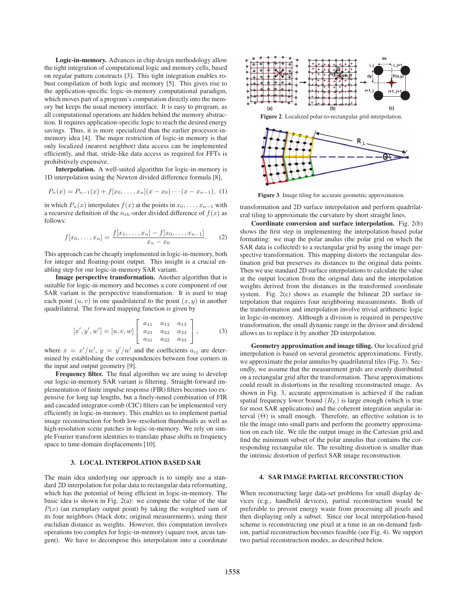Logic-in-memory. Advances in chip design methodology allow the tight integration of computational logic and memory cells, based on regular pattern constructs [3]. This tight integration enables robust compilation of both logic and memory [5]. This gives rise to the application-specific logic-in-memory computational paradigm, which moves part of a program's computation directly into the memory but keeps the usual memory interface. It is easy to program, as all computational operations are hidden behind the memory abstraction. It requires application-specific logic to reach the desired energy savings. Thus, it is more specialized than the earlier processor-inmemory idea [4]. The major restriction of logic-in memory is that only localized (nearest neighbor) data access can be implemented efficiently, and that, stride-like data access as required for FFTs is prohibitively expensive.

Interpolation. A well-suited algorithm for logic-in-memory is 1D interpolation using the Newton divided difference formula [8],

$$
P_n(x) = P_{n-1}(x) + f[x_0, \dots, x_n](x - x_0) \cdots (x - x_{n-1}), \tag{1}
$$

in which  $P_n(x)$  interpolates  $f(x)$  at the points in  $x_0, \ldots, x_{n-1}$  with a recursive definition of the  $n_{th}$ -order divided difference of  $f(x)$  as follows:

$$
f[x_0, \ldots, x_n] = \frac{f[x_1, \ldots, x_n] - f[x_0, \ldots, x_{n-1}]}{x_n - x_0}.
$$
 (2)

This approach can be cheaply implemented in logic-in-memory, both for integer and floating-point output. This insight is a crucial enabling step for our logic-in-memory SAR variant.

Image perspective transformation. Another algorithm that is suitable for logic-in-memory and becomes a core component of our SAR variant is the perspective transformation. It is used to map each point  $(u, v)$  in one quadrilateral to the point  $(x, y)$  in another quadrilateral. The forward mapping function is given by

$$
[x', y', w'] = [u, v, w] \begin{bmatrix} a_{11} & a_{12} & a_{13} \ a_{21} & a_{22} & a_{23} \ a_{31} & a_{32} & a_{33} \end{bmatrix},
$$
 (3)

where  $x = x'/w'$ ,  $y = y'/w'$  and the coefficients  $a_{ij}$  are determined by establishing the correspondences between four corners in the input and output geometry [9].

Frequency filter. The final algorithm we are using to develop our logic-in-memory SAR variant is filtering. Straight-forward implementation of finite impulse response (FIR) filters becomes too expensive for long tap lengths, but a finely-tuned combination of FIR and cascaded integrator-comb (CIC) filters can be implemented very efficiently in logic-in-memory. This enables us to implement partial image reconstruction for both low-resolution thumbnails as well as high-resolution scene patches in logic-in-memory. We rely on simple Fourier transform identities to translate phase shifts in frequency space to time-domain displacements [10].

## 3. LOCAL INTERPOLATION BASED SAR

The main idea underlying our approach is to simply use a standard 2D interpolation for polar data to rectangular data reformatting, which has the potential of being efficient in logic-in-memory. The basic idea is shown in Fig. 2(a): we compute the value of the star  $P(x)$  (an exemplary output point) by taking the weighted sum of its four neighbors (black dots; original measurements), using their euclidian distance as weights. However, this computation involves operations too complex for logic-in-memory (square root, arcus tangent). We have to decompose this interpolation into a coordinate





Figure 3. Image tiling for accurate geometric approximation.

transformation and 2D surface interpolation and perform quadrilateral tiling to approximate the curvature by short straight lines.

Coordinate conversion and surface interpolation. Fig. 2(b) shows the first step in implementing the interpolation-based polar formatting: we map the polar anulus (the polar grid on which the SAR data is collected) to a rectangular grid by using the image perspective transformation. This mapping distorts the rectangular destination grid but preserves its distances to the original data points. Then we use standard 2D surface interpolations to calculate the value at the output location from the original data and the interpolation weights derived from the distances in the transformed coordinate system. Fig. 2(c) shows as example the bilinear 2D surface interpolation that requires four neighboring measurements. Both of the transformation and interpolation involve trivial arithmetic logic in logic-in-memory. Although a division is required in perspective transformation, the small dynamic range in the divisor and dividend allows us to replace it by another 2D interpolation.

Geometry approximation and image tiling. Our localized grid interpolation is based on several geometric approximations. Firstly, we approximate the polar annulus by quadrilateral tiles (Fig. 3). Secondly, we assume that the measurement grids are evenly distributed on a rectangular grid after the transformation. These approximations could result in distortions in the resulting reconstructed image. As shown in Fig. 3, accurate approximation is achieved if the radian spatial frequency lower bound  $(R_L)$  is large enough (which is true for most SAR applications) and the coherent integration angular interval  $(\Theta)$  is small enough. Therefore, an effective solution is to tile the image into small parts and perform the geometry approximation on each tile. We tile the output image in the Cartesian grid and find the minimum subset of the polar annulus that contains the corresponding rectangular tile. The resulting distortion is smaller than the intrinsic distortion of perfect SAR image reconstruction.

### 4. SAR IMAGE PARTIAL RECONSTRUCTION

When reconstructing large data-set problems for small display devices (e.g., handheld devices), partial reconstruction would be preferable to prevent energy waste from processing all pixels and then displaying only a subset. Since our local interpolation-based scheme is reconstructing one pixel at a time in an on-demand fashion, partial reconstruction becomes feasible (see Fig. 4). We support two partial reconstruction modes, as described below.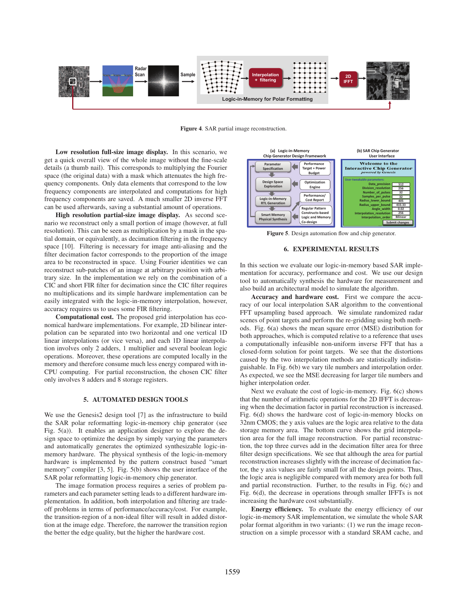

Figure 4. SAR partial image reconstruction.

Low resolution full-size image display. In this scenario, we get a quick overall view of the whole image without the fine-scale details (a thumb nail). This corresponds to multiplying the Fourier space (the original data) with a mask which attenuates the high frequency components. Only data elements that correspond to the low frequency components are interpolated and computations for high frequency components are saved. A much smaller 2D inverse FFT can be used afterwards, saving a substantial amount of operations.

High resolution partial-size image display. As second scenario we reconstruct only a small portion of image (however, at full resolution). This can be seen as multiplication by a mask in the spatial domain, or equivalently, as decimation filtering in the frequency space [10]. Filtering is necessary for image anti-aliasing and the filter decimation factor corresponds to the proportion of the image area to be reconstructed in space. Using Fourier identities we can reconstruct sub-patches of an image at arbitrary position with arbitrary size. In the implementation we rely on the combination of a CIC and short FIR filter for decimation since the CIC filter requires no multiplications and its simple hardware implementation can be easily integrated with the logic-in-memory interpolation, however, accuracy requires us to uses some FIR filtering.

Computational cost. The proposed grid interpolation has economical hardware implementations. For example, 2D bilinear interpolation can be separated into two horizontal and one vertical 1D linear interpolations (or vice versa), and each 1D linear interpolation involves only 2 adders, 1 multiplier and several boolean logic operations. Moreover, these operations are computed locally in the memory and therefore consume much less energy compared with in-CPU computing. For partial reconstruction, the chosen CIC filter only involves 8 adders and 8 storage registers.

## 5. AUTOMATED DESIGN TOOLS

We use the Genesis2 design tool [7] as the infrastructure to build the SAR polar reformatting logic-in-memory chip generator (see Fig. 5(a)). It enables an application designer to explore the design space to optimize the design by simply varying the parameters and automatically generates the optimized synthesizable logic-inmemory hardware. The physical synthesis of the logic-in-memory hardware is implemented by the pattern construct based "smart memory" compiler [3, 5]. Fig. 5(b) shows the user interface of the SAR polar reformatting logic-in-memory chip generator.

The image formation process requires a series of problem parameters and each parameter setting leads to a different hardware implementation. In addition, both interpolation and filtering are tradeoff problems in terms of performance/accuracy/cost. For example, the transition-region of a non-ideal filter will result in added distortion at the image edge. Therefore, the narrower the transition region the better the edge quality, but the higher the hardware cost.



Figure 5. Design automation flow and chip generator.

#### 6. EXPERIMENTAL RESULTS

In this section we evaluate our logic-in-memory based SAR implementation for accuracy, performance and cost. We use our design tool to automatically synthesis the hardware for measurement and also build an architectural model to simulate the algorithm.

Accuracy and hardware cost. First we compare the accuracy of our local interpolation SAR algorithm to the conventional FFT upsampling based approach. We simulate randomized radar scenes of point targets and perform the re-gridding using both methods. Fig. 6(a) shows the mean square error (MSE) distribution for both approaches, which is computed relative to a reference that uses a computationally infeasible non-uniform inverse FFT that has a closed-form solution for point targets. We see that the distortions caused by the two interpolation methods are statistically indistinguishable. In Fig. 6(b) we vary tile numbers and interpolation order. As expected, we see the MSE decreasing for larger tile numbers and higher interpolation order.

Next we evaluate the cost of logic-in-memory. Fig. 6(c) shows that the number of arithmetic operations for the 2D IFFT is decreasing when the decimation factor in partial reconstruction is increased. Fig. 6(d) shows the hardware cost of logic-in-memory blocks on 32nm CMOS; the y axis values are the logic area relative to the data storage memory area. The bottom curve shows the grid interpolation area for the full image reconstruction. For partial reconstruction, the top three curves add in the decimation filter area for three filter design specifications. We see that although the area for partial reconstruction increases slightly with the increase of decimation factor, the y axis values are fairly small for all the design points. Thus, the logic area is negligible compared with memory area for both full and partial reconstruction. Further, to the results in Fig. 6(c) and Fig. 6(d), the decrease in operations through smaller IFFTs is not increasing the hardware cost substantially.

Energy efficiency. To evaluate the energy efficiency of our logic-in-memory SAR implementation, we simulate the whole SAR polar format algorithm in two variants: (1) we run the image reconstruction on a simple processor with a standard SRAM cache, and